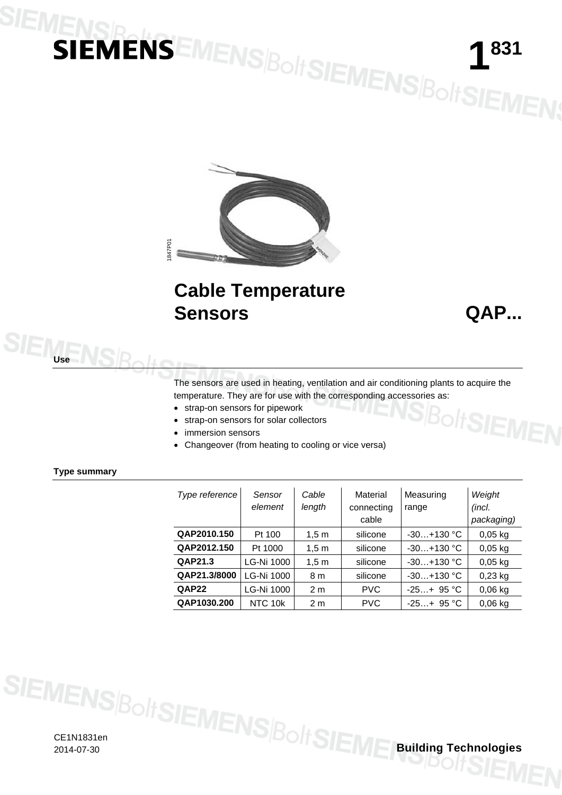# **IENSINENSEMENSBOITSIEMENSBOITSIEMEN;**



## **Cable Temperature Sensors QAP...**

 $B$ olt**SIEI** 

The sensors are used in heating, ventilation and air conditioning plants to acquire the temperature. They are for use with the corresponding accessories as:

- strap-on sensors for pipework
- strap-on sensors for solar collectors
- immersion sensors
- Changeover (from heating to cooling or vice versa)

## **Type summary**

**Use**

| Type reference | Sensor<br>element | Cable<br>length  | Material<br>connecting<br>cable | Measuring<br>range | Weight<br>(incl.<br>packaging) |
|----------------|-------------------|------------------|---------------------------------|--------------------|--------------------------------|
| QAP2010.150    | Pt 100            | 1.5 <sub>m</sub> | silicone                        | $-30+130$ °C       | $0,05$ kg                      |
| QAP2012.150    | Pt 1000           | 1,5m             | silicone                        | $-30+130$ °C       | $0,05$ kg                      |
| QAP21.3        | LG-Ni 1000        | 1,5m             | silicone                        | $-30+130$ °C       | $0,05$ kg                      |
| QAP21.3/8000   | LG-Ni 1000        | 8 m              | silicone                        | $-30+130$ °C       | $0,23$ kg                      |
| QAP22          | LG-Ni 1000        | 2 <sub>m</sub>   | <b>PVC</b>                      | $-25+95$ °C        | $0,06$ kg                      |
| QAP1030.200    | NTC 10k           | 2 <sub>m</sub>   | <b>PVC</b>                      | $-25+95$ °C        | $0,06$ kg                      |

CE1N1831en 2014-07-30 **Building Technologies**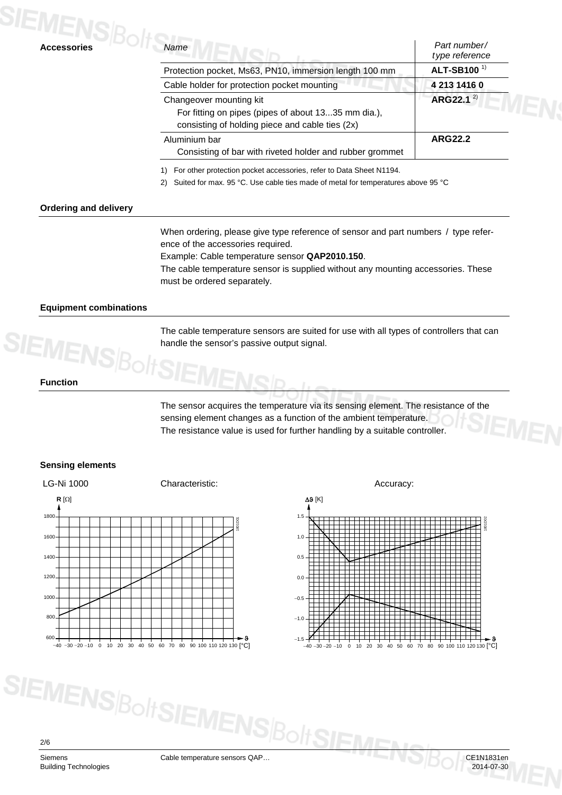| <b>Accessories</b> | Name                                                                                                                              | Part number/<br>type reference |
|--------------------|-----------------------------------------------------------------------------------------------------------------------------------|--------------------------------|
|                    | Protection pocket, Ms63, PN10, immersion length 100 mm                                                                            | ALT-SB100 <sup>1)</sup>        |
|                    | Cable holder for protection pocket mounting                                                                                       | 4 213 1416 0                   |
|                    | Changeover mounting kit<br>For fitting on pipes (pipes of about 1335 mm dia.),<br>consisting of holding piece and cable ties (2x) | ARG22.1 $^{2}$                 |
|                    | Aluminium bar<br>Consisting of bar with riveted holder and rubber grommet                                                         | <b>ARG22.2</b>                 |

1) For other protection pocket accessories, refer to Data Sheet N1194.

2) Suited for max. 95 °C. Use cable ties made of metal for temperatures above 95 °C

## **Ordering and delivery**

When ordering, please give type reference of sensor and part numbers / type reference of the accessories required.

Example: Cable temperature sensor **QAP2010.150**.

The cable temperature sensor is supplied without any mounting accessories. These must be ordered separately.

## **Equipment combinations**

The cable temperature sensors are suited for use with all types of controllers that can handle the sensor's passive output signal.

## **Function**

The sensor acquires the temperature via its sensing element. The resistance of the sensing element changes as a function of the ambient temperature. The resistance value is used for further handling by a suitable controller.

## **Sensing elements**





2/6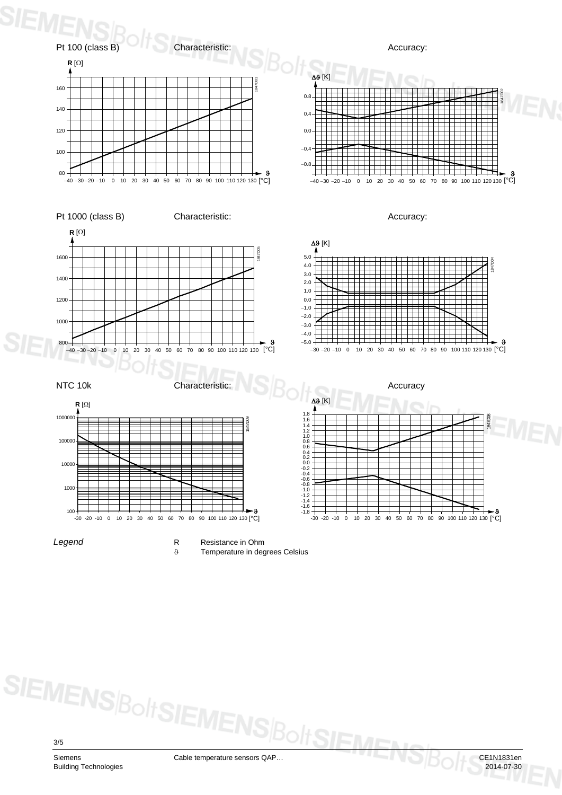

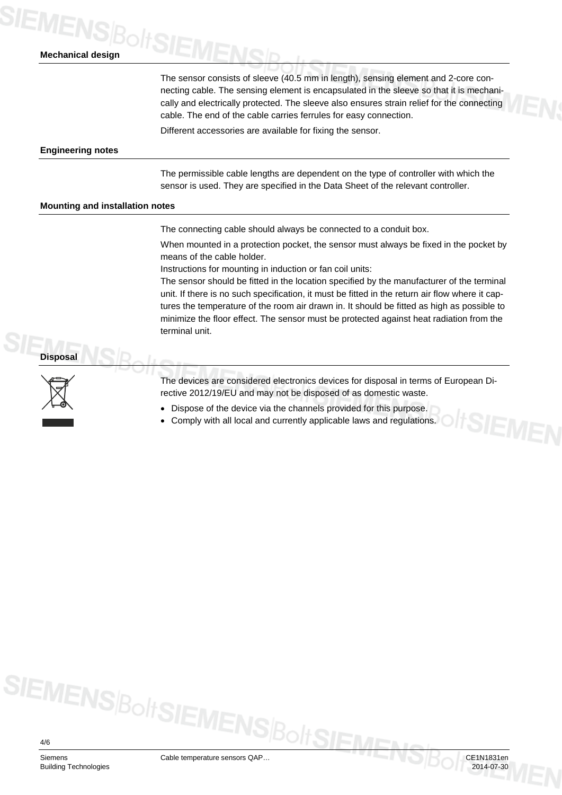## **IEMENS**<br> **Mechanical design**

The sensor consists of sleeve (40.5 mm in length), sensing element and 2-core connecting cable. The sensing element is encapsulated in the sleeve so that it is mechanically and electrically protected. The sleeve also ensures strain relief for the connecting cable. The end of the cable carries ferrules for easy connection.

Different accessories are available for fixing the sensor.

## **Engineering notes**

The permissible cable lengths are dependent on the type of controller with which the sensor is used. They are specified in the Data Sheet of the relevant controller.

## **Mounting and installation notes**

The connecting cable should always be connected to a conduit box.

When mounted in a protection pocket, the sensor must always be fixed in the pocket by means of the cable holder.

Instructions for mounting in induction or fan coil units:

The sensor should be fitted in the location specified by the manufacturer of the terminal unit. If there is no such specification, it must be fitted in the return air flow where it captures the temperature of the room air drawn in. It should be fitted as high as possible to minimize the floor effect. The sensor must be protected against heat radiation from the terminal unit.

**Disposal**



The devices are considered electronics devices for disposal in terms of European Directive 2012/19/EU and may not be disposed of as domestic waste.

- Dispose of the device via the channels provided for this purpose.
- Comply with all local and currently applicable laws and regulations.

4/6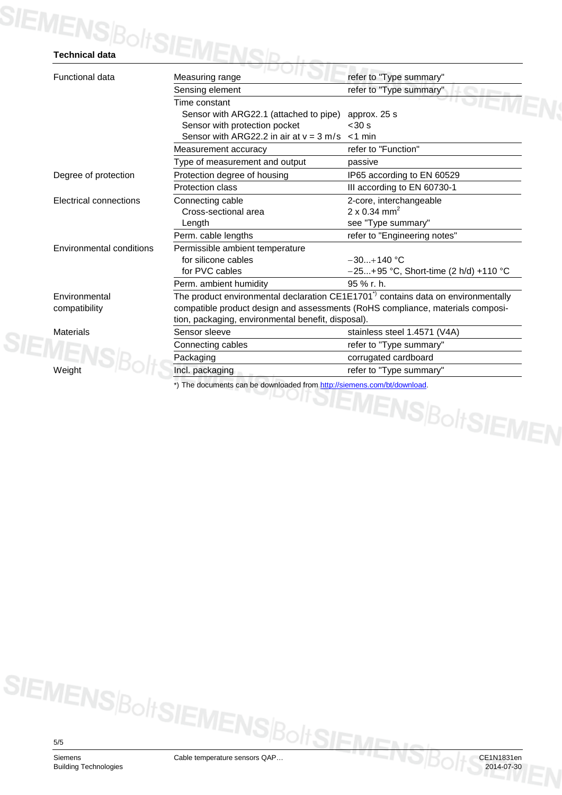| SIEMENS BoltSIEME             |                                                                                               |                                         |  |
|-------------------------------|-----------------------------------------------------------------------------------------------|-----------------------------------------|--|
| <b>Functional data</b>        | Measuring range                                                                               | refer to "Type summary"                 |  |
|                               | Sensing element                                                                               | refer to "Type summary"                 |  |
|                               | Time constant                                                                                 |                                         |  |
|                               | Sensor with ARG22.1 (attached to pipe)                                                        | approx. 25 s                            |  |
|                               | Sensor with protection pocket                                                                 | < 30 s                                  |  |
|                               | Sensor with ARG22.2 in air at $v = 3$ m/s $\lt 1$ min                                         |                                         |  |
|                               | Measurement accuracy                                                                          | refer to "Function"                     |  |
|                               | Type of measurement and output                                                                | passive                                 |  |
| Degree of protection          | Protection degree of housing                                                                  | IP65 according to EN 60529              |  |
|                               | Protection class                                                                              | III according to EN 60730-1             |  |
| <b>Electrical connections</b> | Connecting cable                                                                              | 2-core, interchangeable                 |  |
|                               | Cross-sectional area                                                                          | $2 \times 0.34$ mm <sup>2</sup>         |  |
|                               | Length                                                                                        | see "Type summary"                      |  |
|                               | Perm. cable lengths                                                                           | refer to "Engineering notes"            |  |
| Environmental conditions      | Permissible ambient temperature                                                               |                                         |  |
|                               | for silicone cables                                                                           | $-30+140$ °C                            |  |
|                               | for PVC cables                                                                                | $-25+95$ °C, Short-time (2 h/d) +110 °C |  |
|                               | Perm. ambient humidity                                                                        | 95 % r. h.                              |  |
| Environmental                 | The product environmental declaration CE1E1701 <sup>*)</sup> contains data on environmentally |                                         |  |
| compatibility                 | compatible product design and assessments (RoHS compliance, materials composi-                |                                         |  |
|                               | tion, packaging, environmental benefit, disposal).                                            |                                         |  |
| <b>Materials</b>              | Sensor sleeve                                                                                 | stainless steel 1.4571 (V4A)            |  |
| :MEN!                         | Connecting cables                                                                             | refer to "Type summary"                 |  |
|                               | Packaging                                                                                     | corrugated cardboard                    |  |
| Weight                        | Incl. packaging                                                                               | refer to "Type summary"                 |  |

5/5

Siemens Cable temperature sensors QAP… CE1N1831en